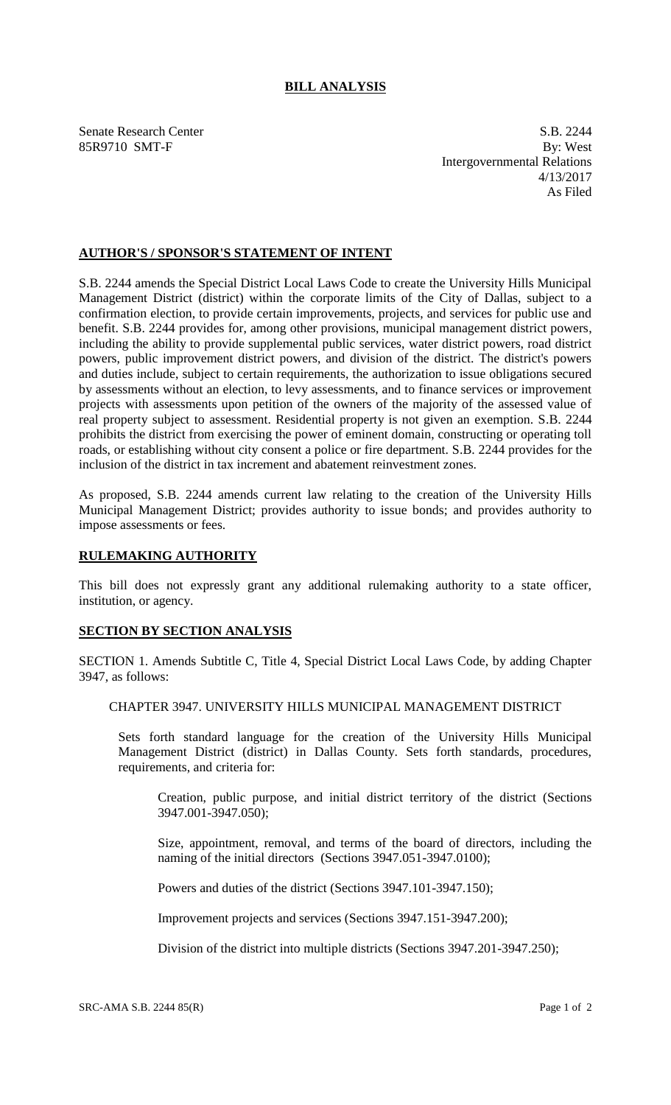## **BILL ANALYSIS**

Senate Research Center S.B. 2244 85R9710 SMT-F By: West Intergovernmental Relations 4/13/2017 As Filed

## **AUTHOR'S / SPONSOR'S STATEMENT OF INTENT**

S.B. 2244 amends the Special District Local Laws Code to create the University Hills Municipal Management District (district) within the corporate limits of the City of Dallas, subject to a confirmation election, to provide certain improvements, projects, and services for public use and benefit. S.B. 2244 provides for, among other provisions, municipal management district powers, including the ability to provide supplemental public services, water district powers, road district powers, public improvement district powers, and division of the district. The district's powers and duties include, subject to certain requirements, the authorization to issue obligations secured by assessments without an election, to levy assessments, and to finance services or improvement projects with assessments upon petition of the owners of the majority of the assessed value of real property subject to assessment. Residential property is not given an exemption. S.B. 2244 prohibits the district from exercising the power of eminent domain, constructing or operating toll roads, or establishing without city consent a police or fire department. S.B. 2244 provides for the inclusion of the district in tax increment and abatement reinvestment zones.

As proposed, S.B. 2244 amends current law relating to the creation of the University Hills Municipal Management District; provides authority to issue bonds; and provides authority to impose assessments or fees.

## **RULEMAKING AUTHORITY**

This bill does not expressly grant any additional rulemaking authority to a state officer, institution, or agency.

## **SECTION BY SECTION ANALYSIS**

SECTION 1. Amends Subtitle C, Title 4, Special District Local Laws Code, by adding Chapter 3947, as follows:

CHAPTER 3947. UNIVERSITY HILLS MUNICIPAL MANAGEMENT DISTRICT

Sets forth standard language for the creation of the University Hills Municipal Management District (district) in Dallas County. Sets forth standards, procedures, requirements, and criteria for:

Creation, public purpose, and initial district territory of the district (Sections 3947.001-3947.050);

Size, appointment, removal, and terms of the board of directors, including the naming of the initial directors (Sections 3947.051-3947.0100);

Powers and duties of the district (Sections 3947.101-3947.150);

Improvement projects and services (Sections 3947.151-3947.200);

Division of the district into multiple districts (Sections 3947.201-3947.250);